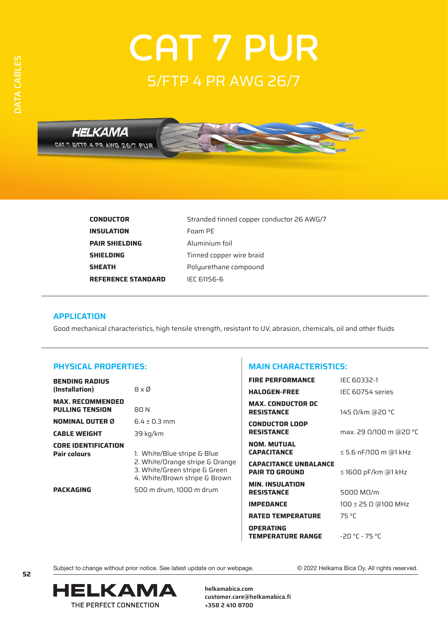# **CAT 7 PUR** S/FTP 4 PR AWG 26/7



| <b>CONDUCTOR</b>          | Stranded tinned copper conductor 26 AWG/7 |
|---------------------------|-------------------------------------------|
| <b>INSULATION</b>         | Foam PE                                   |
| <b>PAIR SHIELDING</b>     | Aluminium foil                            |
| <b>SHIELDING</b>          | Tinned copper wire braid                  |
| <b>SHEATH</b>             | Polyurethane compound                     |
| <b>REFERENCE STANDARD</b> | IEC 61156-6                               |

### **APPLICATION**

Good mechanical characteristics, high tensile strength, resistant to UV, abrasion, chemicals, oil and other fluids

# **PHYSICAL PROPERTIES:**

| <b>BENDING RADIUS</b>                                                 |                                                                                                                                                             | <b>FIRE PERFORMANCE</b>                               | IEC 60332-1                  |  |
|-----------------------------------------------------------------------|-------------------------------------------------------------------------------------------------------------------------------------------------------------|-------------------------------------------------------|------------------------------|--|
| (Installation)                                                        | $8 \times \emptyset$                                                                                                                                        | <b>HALOGEN-FREE</b>                                   | IEC 60754 series             |  |
| <b>MAX. RECOMMENDED</b><br><b>PULLING TENSION</b>                     | 80 N                                                                                                                                                        | <b>MAX. CONDUCTOR DC</b><br><b>RESISTANCE</b>         | 145 $\Omega$ /km (a20 °C)    |  |
| <b>NOMINAL OUTER Ø</b>                                                | $6.4 \pm 0.3$ mm                                                                                                                                            | <b>CONDUCTOR LOOP</b>                                 |                              |  |
| <b>CABLE WEIGHT</b>                                                   | 39 kg/km                                                                                                                                                    | <b>RESISTANCE</b>                                     | max. 29 Ω/100 m @20 °C       |  |
| <b>CORE IDENTIFICATION</b><br><b>Pair colours</b><br><b>PACKAGING</b> | 1. White/Blue stripe & Blue<br>2. White/Orange stripe & Orange<br>3. White/Green stripe & Green<br>4. White/Brown stripe & Brown<br>500 m drum, 1000 m drum | <b>NOM. MUTUAL</b><br><b>CAPACITANCE</b>              | $\leq$ 5.6 nF/100 m (a1 kHz) |  |
|                                                                       |                                                                                                                                                             | <b>CAPACITANCE UNBALANCE</b><br><b>PAIR TO GROUND</b> | $\leq$ 1600 pF/km @1 kHz     |  |
|                                                                       |                                                                                                                                                             | <b>MIN. INSULATION</b><br><b>RESISTANCE</b>           | 5000 $M\Omega/m$             |  |
|                                                                       |                                                                                                                                                             | <b>IMPEDANCE</b>                                      | 100 ± 25 Ω @100 MHz          |  |
|                                                                       |                                                                                                                                                             | <b>RATED TEMPERATURE</b>                              | 75 °C                        |  |
|                                                                       |                                                                                                                                                             | <b>OPERATING</b><br><b>TEMPERATURE RANGE</b>          | $-20 °C - 75 °C$             |  |

**MAIN CHARACTERISTICS:**

DATA CABLES

DATA CABLES

Subject to change without prior notice. See latest update on our webpage. © 2022 Helkama Bica Oy. All rights reserved.



**helkamabica.com customer.care@helkamabica.fi +358 2 410 8700**